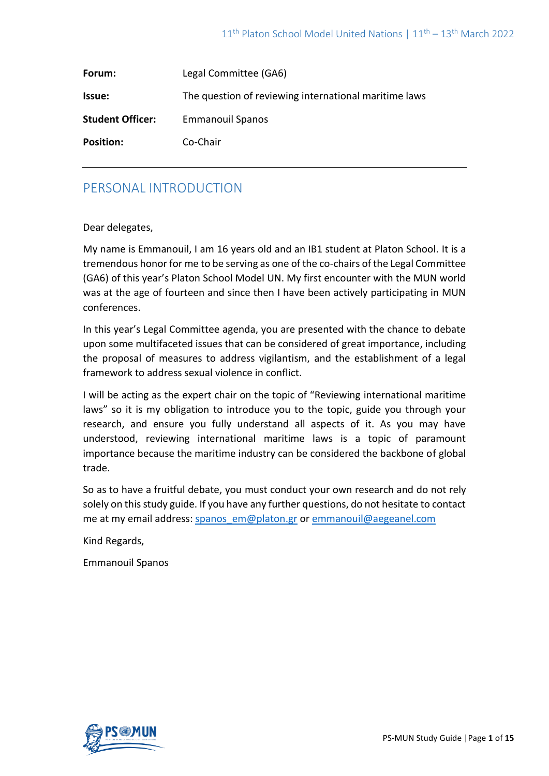| Forum:                  | Legal Committee (GA6)                                 |
|-------------------------|-------------------------------------------------------|
| Issue:                  | The question of reviewing international maritime laws |
| <b>Student Officer:</b> | <b>Emmanouil Spanos</b>                               |
| <b>Position:</b>        | Co-Chair                                              |

## PERSONAL INTRODUCTION

Dear delegates,

My name is Emmanouil, I am 16 years old and an IB1 student at Platon School. It is a tremendous honor for me to be serving as one of the co-chairs of the Legal Committee (GA6) of this year's Platon School Model UN. My first encounter with the MUN world was at the age of fourteen and since then I have been actively participating in MUN conferences.

In this year's Legal Committee agenda, you are presented with the chance to debate upon some multifaceted issues that can be considered of great importance, including the proposal of measures to address vigilantism, and the establishment of a legal framework to address sexual violence in conflict.

I will be acting as the expert chair on the topic of "Reviewing international maritime laws" so it is my obligation to introduce you to the topic, guide you through your research, and ensure you fully understand all aspects of it. As you may have understood, reviewing international maritime laws is a topic of paramount importance because the maritime industry can be considered the backbone of global trade.

So as to have a fruitful debate, you must conduct your own research and do not rely solely on this study guide. If you have any further questions, do not hesitate to contact me at my email address: [spanos\\_em@platon.gr](mailto:spanos_em@platon.gr) or [emmanouil@aegeanel.com](mailto:emmanouil@aegeanel.com)

Kind Regards,

Emmanouil Spanos

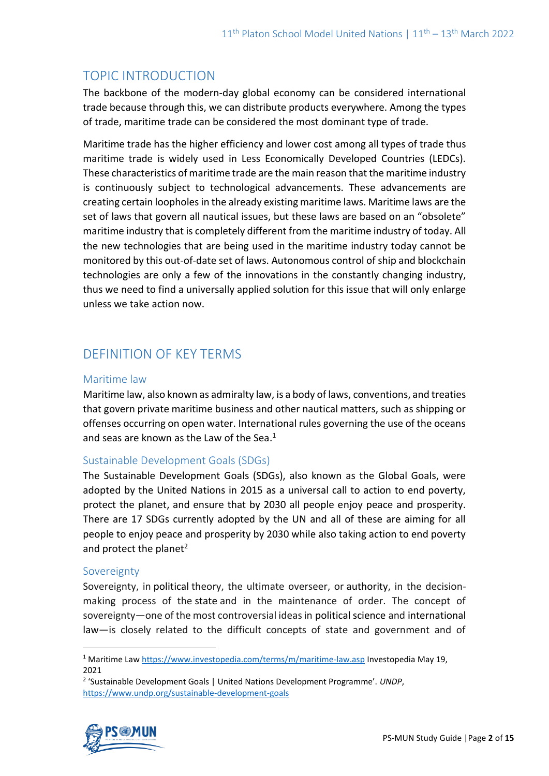# TOPIC INTRODUCTION

The backbone of the modern-day global economy can be considered international trade because through this, we can distribute products everywhere. Among the types of trade, maritime trade can be considered the most dominant type of trade.

Maritime trade has the higher efficiency and lower cost among all types of trade thus maritime trade is widely used in Less Economically Developed Countries (LEDCs). These characteristics of maritime trade are the main reason that the maritime industry is continuously subject to technological advancements. These advancements are creating certain loopholes in the already existing maritime laws. Maritime laws are the set of laws that govern all nautical issues, but these laws are based on an "obsolete" maritime industry that is completely different from the maritime industry of today. All the new technologies that are being used in the maritime industry today cannot be monitored by this out-of-date set of laws. Autonomous control of ship and blockchain technologies are only a few of the innovations in the constantly changing industry, thus we need to find a universally applied solution for this issue that will only enlarge unless we take action now.

# DEFINITION OF KEY TERMS

### Maritime law

Maritime law, also known as admiralty law, is a body of laws, conventions, and treaties that govern private maritime business and other nautical matters, such as shipping or offenses occurring on open water. International rules governing the use of the oceans and seas are known as the Law of the Sea.<sup>1</sup>

### Sustainable Development Goals (SDGs)

The Sustainable Development Goals (SDGs), also known as the Global Goals, were adopted by the United Nations in 2015 as a universal call to action to end poverty, protect the planet, and ensure that by 2030 all people enjoy peace and prosperity. There are 17 SDGs currently adopted by the UN and all of these are aiming for all people to enjoy peace and prosperity by 2030 while also taking action to end poverty and protect the planet<sup>2</sup>

### Sovereignty

Sovereignty, in political theory, the ultimate overseer, or authority, in the decisionmaking process of the state and in the maintenance of order. The concept of sovereignty—one of the most controversial ideas in political science and international law—is closely related to the difficult concepts of state and government and of

<sup>2</sup> 'Sustainable Development Goals | United Nations Development Programme'. *UNDP*, <https://www.undp.org/sustainable-development-goals>



<sup>1</sup> Maritime Law <https://www.investopedia.com/terms/m/maritime-law.asp> Investopedia May 19, 2021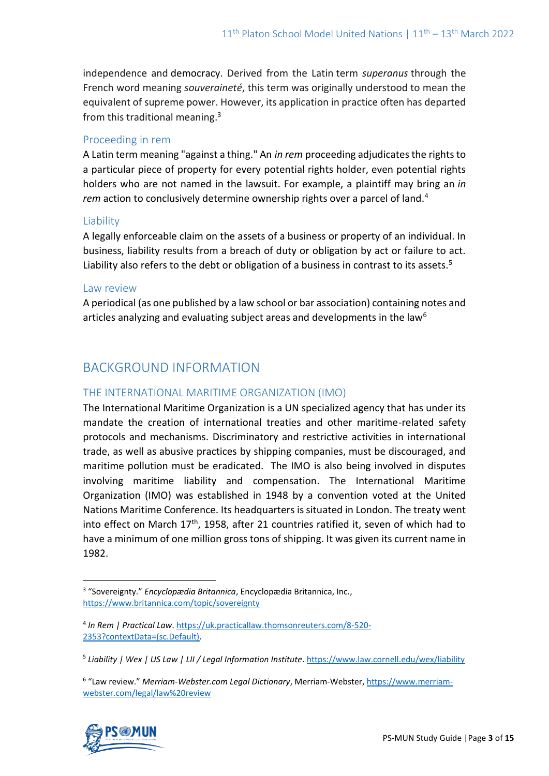independence and democracy. Derived from the Latin term *superanus* through the French word meaning *souveraineté*, this term was originally understood to mean the equivalent of supreme power. However, its application in practice often has departed from this traditional meaning. $3$ 

### Proceeding in rem

A Latin term meaning "against a thing." An *in rem* proceeding adjudicates the rights to a particular piece of property for every potential rights holder, even potential rights holders who are not named in the lawsuit. For example, a plaintiff may bring an *in rem* action to conclusively determine ownership rights over a parcel of land.<sup>4</sup>

### Liability

A legally enforceable claim on the assets of a business or property of an individual. In business, liability results from a breach of duty or obligation by act or failure to act. Liability also refers to the debt or obligation of a business in contrast to its assets.<sup>5</sup>

### Law review

A periodical (as one published by a law school or bar association) containing notes and articles analyzing and evaluating subject areas and developments in the law<sup>6</sup>

# BACKGROUND INFORMATION

### THE INTERNATIONAL MARITIME ORGANIZATION (IMO)

The International Maritime Organization is a UN specialized agency that has under its mandate the creation of international treaties and other maritime-related safety protocols and mechanisms. Discriminatory and restrictive activities in international trade, as well as abusive practices by shipping companies, must be discouraged, and maritime pollution must be eradicated. The IMO is also being involved in disputes involving maritime liability and compensation. The International Maritime Organization (IMO) was established in 1948 by a convention voted at the United Nations Maritime Conference. Its headquarters is situated in London. The treaty went into effect on March  $17<sup>th</sup>$ , 1958, after 21 countries ratified it, seven of which had to have a minimum of one million gross tons of shipping. It was given its current name in 1982.

<sup>&</sup>lt;sup>6</sup> "Law review." Merriam-Webster.com Legal Dictionary, Merriam-Webster[, https://www.merriam](https://www.merriam-webster.com/legal/law%20review)[webster.com/legal/law%20review](https://www.merriam-webster.com/legal/law%20review)



<sup>3</sup> "Sovereignty." *Encyclopædia Britannica*, Encyclopædia Britannica, Inc., <https://www.britannica.com/topic/sovereignty>

<sup>4</sup> *In Rem | Practical Law*[. https://uk.practicallaw.thomsonreuters.com/8-520-](https://uk.practicallaw.thomsonreuters.com/8-520-2353?contextData=(sc.Default)) [2353?contextData=\(sc.Default\).](https://uk.practicallaw.thomsonreuters.com/8-520-2353?contextData=(sc.Default))

<sup>5</sup> *Liability | Wex | US Law | LII / Legal Information Institute*[. https://www.law.cornell.edu/wex/liability](https://www.law.cornell.edu/wex/liability)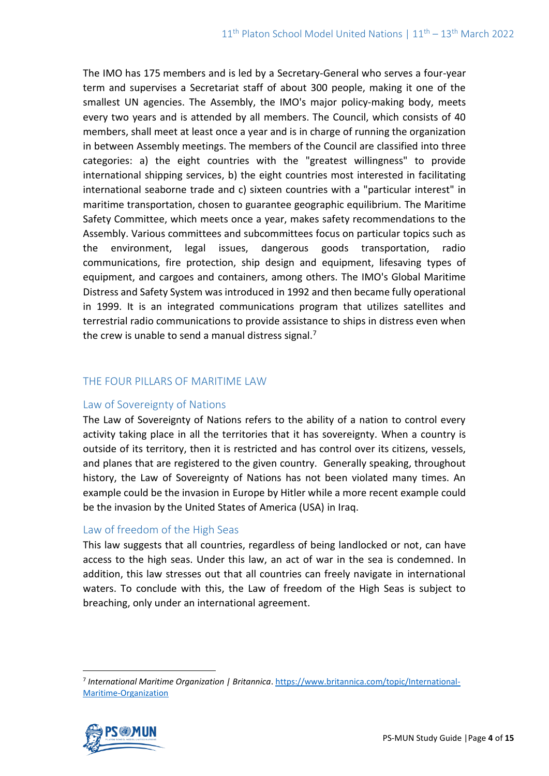The IMO has 175 members and is led by a Secretary-General who serves a four-year term and supervises a Secretariat staff of about 300 people, making it one of the smallest UN agencies. The Assembly, the IMO's major policy-making body, meets every two years and is attended by all members. The Council, which consists of 40 members, shall meet at least once a year and is in charge of running the organization in between Assembly meetings. The members of the Council are classified into three categories: a) the eight countries with the "greatest willingness" to provide international shipping services, b) the eight countries most interested in facilitating international seaborne trade and c) sixteen countries with a "particular interest" in maritime transportation, chosen to guarantee geographic equilibrium. The Maritime Safety Committee, which meets once a year, makes safety recommendations to the Assembly. Various committees and subcommittees focus on particular topics such as the environment, legal issues, dangerous goods transportation, radio communications, fire protection, ship design and equipment, lifesaving types of equipment, and cargoes and containers, among others. The IMO's Global Maritime Distress and Safety System was introduced in 1992 and then became fully operational in 1999. It is an integrated communications program that utilizes satellites and terrestrial radio communications to provide assistance to ships in distress even when the crew is unable to send a manual distress signal.<sup>7</sup>

### THE FOUR PILLARS OF MARITIME LAW

#### Law of Sovereignty of Nations

The Law of Sovereignty of Nations refers to the ability of a nation to control every activity taking place in all the territories that it has sovereignty. When a country is outside of its territory, then it is restricted and has control over its citizens, vessels, and planes that are registered to the given country. Generally speaking, throughout history, the Law of Sovereignty of Nations has not been violated many times. An example could be the invasion in Europe by Hitler while a more recent example could be the invasion by the United States of America (USA) in Iraq.

### Law of freedom of the High Seas

This law suggests that all countries, regardless of being landlocked or not, can have access to the high seas. Under this law, an act of war in the sea is condemned. In addition, this law stresses out that all countries can freely navigate in international waters. To conclude with this, the Law of freedom of the High Seas is subject to breaching, only under an international agreement.

<sup>7</sup> *International Maritime Organization | Britannica*. [https://www.britannica.com/topic/International-](https://www.britannica.com/topic/International-Maritime-Organization)[Maritime-Organization](https://www.britannica.com/topic/International-Maritime-Organization)

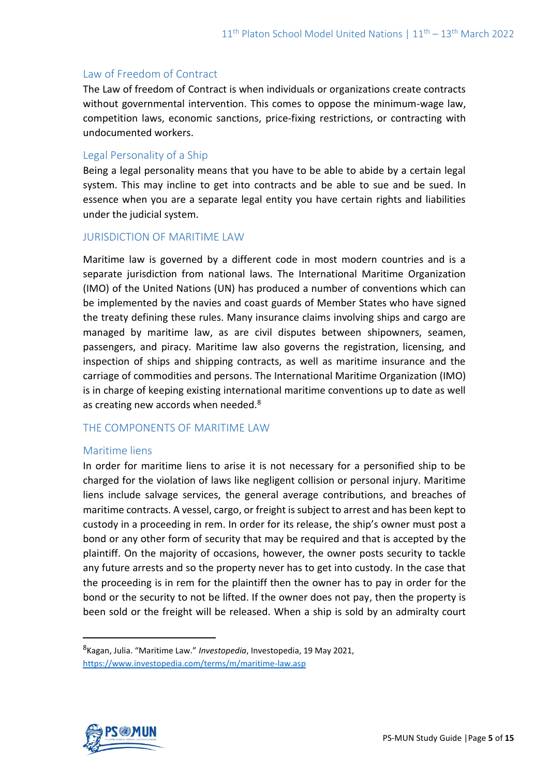### Law of Freedom of Contract

The Law of freedom of Contract is when individuals or organizations create contracts without governmental intervention. This comes to oppose the minimum-wage law, competition laws, economic sanctions, price-fixing restrictions, or contracting with undocumented workers.

### Legal Personality of a Ship

Being a legal personality means that you have to be able to abide by a certain legal system. This may incline to get into contracts and be able to sue and be sued. In essence when you are a separate legal entity you have certain rights and liabilities under the judicial system.

### JURISDICTION OF MARITIME LAW

Maritime law is governed by a different code in most modern countries and is a separate jurisdiction from national laws. The International Maritime Organization (IMO) of the United Nations (UN) has produced a number of conventions which can be implemented by the navies and coast guards of Member States who have signed the treaty defining these rules. Many insurance claims involving ships and cargo are managed by maritime law, as are civil disputes between shipowners, seamen, passengers, and piracy. Maritime law also governs the registration, licensing, and inspection of ships and shipping contracts, as well as maritime insurance and the carriage of commodities and persons. The International Maritime Organization (IMO) is in charge of keeping existing international maritime conventions up to date as well as creating new accords when needed.<sup>8</sup>

### THE COMPONENTS OF MARITIME LAW

#### Maritime liens

In order for maritime liens to arise it is not necessary for a personified ship to be charged for the violation of laws like negligent collision or personal injury. Maritime liens include salvage services, the general average contributions, and breaches of maritime contracts. A vessel, cargo, or freight is subject to arrest and has been kept to custody in a proceeding in rem. In order for its release, the ship's owner must post a bond or any other form of security that may be required and that is accepted by the plaintiff. On the majority of occasions, however, the owner posts security to tackle any future arrests and so the property never has to get into custody. In the case that the proceeding is in rem for the plaintiff then the owner has to pay in order for the bond or the security to not be lifted. If the owner does not pay, then the property is been sold or the freight will be released. When a ship is sold by an admiralty court



<sup>8</sup> Kagan, Julia. "Maritime Law." *Investopedia*, Investopedia, 19 May 2021, <https://www.investopedia.com/terms/m/maritime-law.asp>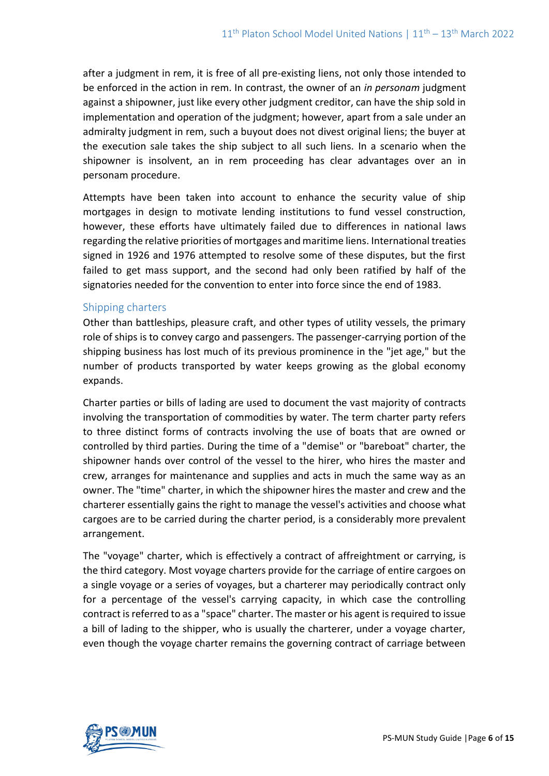after a judgment in rem, it is free of all pre-existing liens, not only those intended to be enforced in the action in rem. In contrast, the owner of an *in personam* judgment against a shipowner, just like every other judgment creditor, can have the ship sold in implementation and operation of the judgment; however, apart from a sale under an admiralty judgment in rem, such a buyout does not divest original liens; the buyer at the execution sale takes the ship subject to all such liens. In a scenario when the shipowner is insolvent, an in rem proceeding has clear advantages over an in personam procedure.

Attempts have been taken into account to enhance the security value of ship mortgages in design to motivate lending institutions to fund vessel construction, however, these efforts have ultimately failed due to differences in national laws regarding the relative priorities of mortgages and maritime liens. International treaties signed in 1926 and 1976 attempted to resolve some of these disputes, but the first failed to get mass support, and the second had only been ratified by half of the signatories needed for the convention to enter into force since the end of 1983.

### Shipping charters

Other than battleships, pleasure craft, and other types of utility vessels, the primary role of ships is to convey cargo and passengers. The passenger-carrying portion of the shipping business has lost much of its previous prominence in the "jet age," but the number of products transported by water keeps growing as the global economy expands.

Charter parties or bills of lading are used to document the vast majority of contracts involving the transportation of commodities by water. The term charter party refers to three distinct forms of contracts involving the use of boats that are owned or controlled by third parties. During the time of a "demise" or "bareboat" charter, the shipowner hands over control of the vessel to the hirer, who hires the master and crew, arranges for maintenance and supplies and acts in much the same way as an owner. The "time" charter, in which the shipowner hires the master and crew and the charterer essentially gains the right to manage the vessel's activities and choose what cargoes are to be carried during the charter period, is a considerably more prevalent arrangement.

The "voyage" charter, which is effectively a contract of affreightment or carrying, is the third category. Most voyage charters provide for the carriage of entire cargoes on a single voyage or a series of voyages, but a charterer may periodically contract only for a percentage of the vessel's carrying capacity, in which case the controlling contract is referred to as a "space" charter. The master or his agent is required to issue a bill of lading to the shipper, who is usually the charterer, under a voyage charter, even though the voyage charter remains the governing contract of carriage between

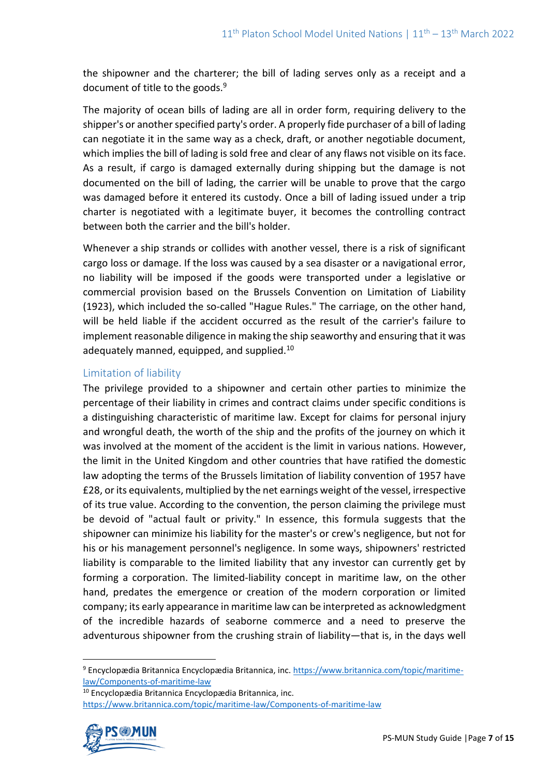the shipowner and the charterer; the bill of lading serves only as a receipt and a document of title to the goods.<sup>9</sup>

The majority of ocean bills of lading are all in order form, requiring delivery to the shipper's or another specified party's order. A properly fide purchaser of a bill of lading can negotiate it in the same way as a check, draft, or another negotiable document, which implies the bill of lading is sold free and clear of any flaws not visible on its face. As a result, if cargo is damaged externally during shipping but the damage is not documented on the bill of lading, the carrier will be unable to prove that the cargo was damaged before it entered its custody. Once a bill of lading issued under a trip charter is negotiated with a legitimate buyer, it becomes the controlling contract between both the carrier and the bill's holder.

Whenever a ship strands or collides with another vessel, there is a risk of significant cargo loss or damage. If the loss was caused by a sea disaster or a navigational error, no liability will be imposed if the goods were transported under a legislative or commercial provision based on the Brussels Convention on Limitation of Liability (1923), which included the so-called "Hague Rules." The carriage, on the other hand, will be held liable if the accident occurred as the result of the carrier's failure to implement reasonable diligence in making the ship seaworthy and ensuring that it was adequately manned, equipped, and supplied.<sup>10</sup>

### Limitation of liability

The privilege provided to a shipowner and certain other parties to minimize the percentage of their liability in crimes and contract claims under specific conditions is a distinguishing characteristic of maritime law. Except for claims for personal injury and wrongful death, the worth of the ship and the profits of the journey on which it was involved at the moment of the accident is the limit in various nations. However, the limit in the United Kingdom and other countries that have ratified the domestic law adopting the terms of the Brussels limitation of liability convention of 1957 have £28, or its equivalents, multiplied by the net earnings weight of the vessel, irrespective of its true value. According to the convention, the person claiming the privilege must be devoid of "actual fault or privity." In essence, this formula suggests that the shipowner can minimize his liability for the master's or crew's negligence, but not for his or his management personnel's negligence. In some ways, shipowners' restricted liability is comparable to the limited liability that any investor can currently get by forming a corporation. The limited-liability concept in maritime law, on the other hand, predates the emergence or creation of the modern corporation or limited company; its early appearance in maritime law can be interpreted as acknowledgment of the incredible hazards of seaborne commerce and a need to preserve the adventurous shipowner from the crushing strain of liability—that is, in the days well

<sup>10</sup> Encyclopædia Britannica Encyclopædia Britannica, inc. <https://www.britannica.com/topic/maritime-law/Components-of-maritime-law>



<sup>9</sup> Encyclopædia Britannica Encyclopædia Britannica, inc. [https://www.britannica.com/topic/maritime](https://www.britannica.com/topic/maritime-law/Components-of-maritime-law)[law/Components-of-maritime-law](https://www.britannica.com/topic/maritime-law/Components-of-maritime-law)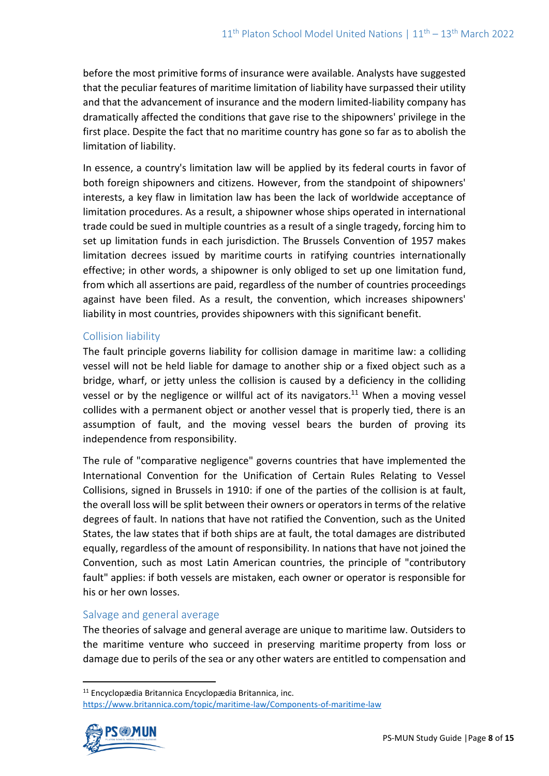before the most primitive forms of insurance were available. Analysts have suggested that the peculiar features of maritime limitation of liability have surpassed their utility and that the advancement of insurance and the modern limited-liability company has dramatically affected the conditions that gave rise to the shipowners' privilege in the first place. Despite the fact that no maritime country has gone so far as to abolish the limitation of liability.

In essence, a country's limitation law will be applied by its federal courts in favor of both foreign shipowners and citizens. However, from the standpoint of shipowners' interests, a key flaw in limitation law has been the lack of worldwide acceptance of limitation procedures. As a result, a shipowner whose ships operated in international trade could be sued in multiple countries as a result of a single tragedy, forcing him to set up limitation funds in each jurisdiction. The Brussels Convention of 1957 makes limitation decrees issued by maritime courts in ratifying countries internationally effective; in other words, a shipowner is only obliged to set up one limitation fund, from which all assertions are paid, regardless of the number of countries proceedings against have been filed. As a result, the convention, which increases shipowners' liability in most countries, provides shipowners with this significant benefit.

### Collision liability

The fault principle governs liability for collision damage in maritime law: a colliding vessel will not be held liable for damage to another ship or a fixed object such as a bridge, wharf, or jetty unless the collision is caused by a deficiency in the colliding vessel or by the negligence or willful act of its navigators.<sup>11</sup> When a moving vessel collides with a permanent object or another vessel that is properly tied, there is an assumption of fault, and the moving vessel bears the burden of proving its independence from responsibility.

The rule of "comparative negligence" governs countries that have implemented the International Convention for the Unification of Certain Rules Relating to Vessel Collisions, signed in Brussels in 1910: if one of the parties of the collision is at fault, the overall loss will be split between their owners or operators in terms of the relative degrees of fault. In nations that have not ratified the Convention, such as the United States, the law states that if both ships are at fault, the total damages are distributed equally, regardless of the amount of responsibility. In nations that have not joined the Convention, such as most Latin American countries, the principle of "contributory fault" applies: if both vessels are mistaken, each owner or operator is responsible for his or her own losses.

### Salvage and general average

The theories of salvage and general average are unique to maritime law. Outsiders to the maritime venture who succeed in preserving maritime property from loss or damage due to perils of the sea or any other waters are entitled to compensation and

<sup>11</sup> Encyclopædia Britannica Encyclopædia Britannica, inc. <https://www.britannica.com/topic/maritime-law/Components-of-maritime-law>

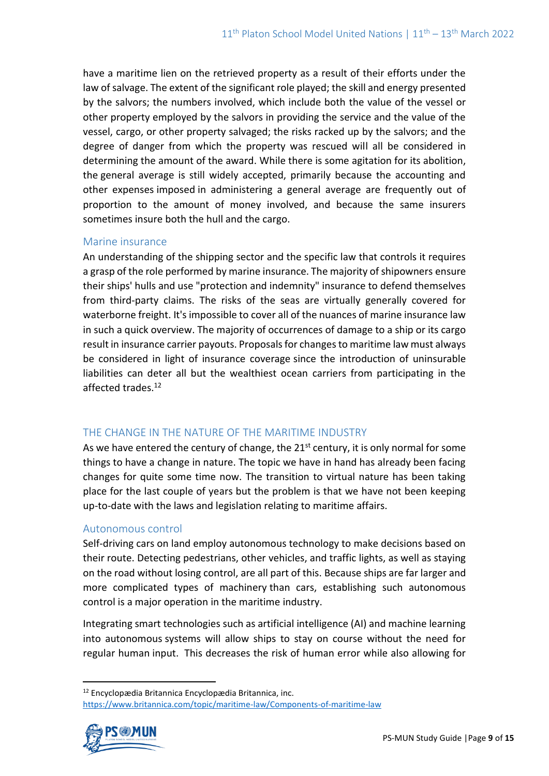have a maritime lien on the retrieved property as a result of their efforts under the law of salvage. The extent of the significant role played; the skill and energy presented by the salvors; the numbers involved, which include both the value of the vessel or other property employed by the salvors in providing the service and the value of the vessel, cargo, or other property salvaged; the risks racked up by the salvors; and the degree of danger from which the property was rescued will all be considered in determining the amount of the award. While there is some agitation for its abolition, the general average is still widely accepted, primarily because the accounting and other expenses imposed in administering a general average are frequently out of proportion to the amount of money involved, and because the same insurers sometimes insure both the hull and the cargo.

### Marine insurance

An understanding of the shipping sector and the specific law that controls it requires a grasp of the role performed by marine insurance. The majority of shipowners ensure their ships' hulls and use "protection and indemnity" insurance to defend themselves from third-party claims. The risks of the seas are virtually generally covered for waterborne freight. It's impossible to cover all of the nuances of marine insurance law in such a quick overview. The majority of occurrences of damage to a ship or its cargo result in insurance carrier payouts. Proposals for changes to maritime law must always be considered in light of insurance coverage since the introduction of uninsurable liabilities can deter all but the wealthiest ocean carriers from participating in the affected trades.<sup>12</sup>

### THE CHANGE IN THE NATURE OF THE MARITIME INDUSTRY

As we have entered the century of change, the  $21<sup>st</sup>$  century, it is only normal for some things to have a change in nature. The topic we have in hand has already been facing changes for quite some time now. The transition to virtual nature has been taking place for the last couple of years but the problem is that we have not been keeping up-to-date with the laws and legislation relating to maritime affairs.

### Autonomous control

Self-driving cars on land employ autonomous technology to make decisions based on their route. Detecting pedestrians, other vehicles, and traffic lights, as well as staying on the road without losing control, are all part of this. Because ships are far larger and more complicated types of machinery than cars, establishing such autonomous control is a major operation in the maritime industry.

Integrating smart technologies such as artificial intelligence (AI) and machine learning into autonomous systems will allow ships to stay on course without the need for regular human input. This decreases the risk of human error while also allowing for

<sup>12</sup> Encyclopædia Britannica Encyclopædia Britannica, inc. <https://www.britannica.com/topic/maritime-law/Components-of-maritime-law>

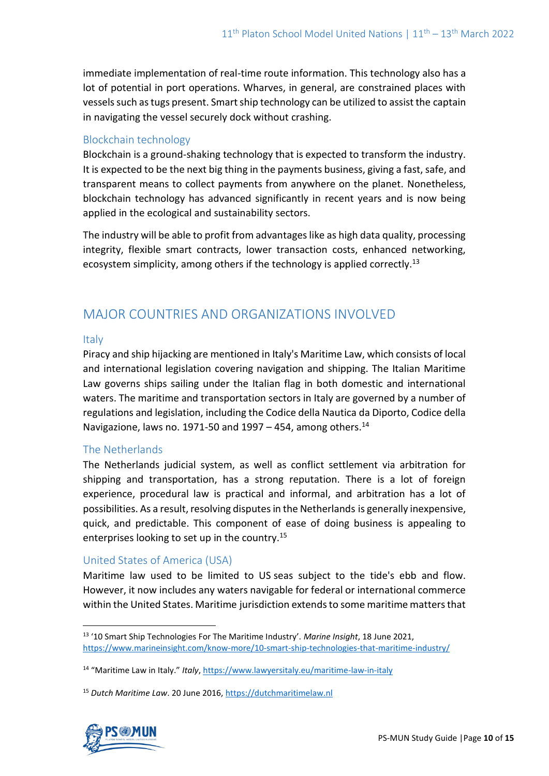immediate implementation of real-time route information. This technology also has a lot of potential in port operations. Wharves, in general, are constrained places with vessels such as tugs present. Smart ship technology can be utilized to assist the captain in navigating the vessel securely dock without crashing.

### Blockchain technology

Blockchain is a ground-shaking technology that is expected to transform the industry. It is expected to be the next big thing in the payments business, giving a fast, safe, and transparent means to collect payments from anywhere on the planet. Nonetheless, blockchain technology has advanced significantly in recent years and is now being applied in the ecological and sustainability sectors.

The industry will be able to profit from advantages like as high data quality, processing integrity, flexible smart contracts, lower transaction costs, enhanced networking, ecosystem simplicity, among others if the technology is applied correctly.<sup>13</sup>

## MAJOR COUNTRIES AND ORGANIZATIONS INVOLVED

### Italy

Piracy and ship hijacking are mentioned in Italy's Maritime Law, which consists of local and international legislation covering navigation and shipping. The Italian Maritime Law governs ships sailing under the Italian flag in both domestic and international waters. The maritime and transportation sectors in Italy are governed by a number of regulations and legislation, including the Codice della Nautica da Diporto, Codice della Navigazione, laws no. 1971-50 and 1997 - 454, among others.<sup>14</sup>

### The Netherlands

The Netherlands judicial system, as well as conflict settlement via arbitration for shipping and transportation, has a strong reputation. There is a lot of foreign experience, procedural law is practical and informal, and arbitration has a lot of possibilities. As a result, resolving disputes in the Netherlands is generally inexpensive, quick, and predictable. This component of ease of doing business is appealing to enterprises looking to set up in the country.<sup>15</sup>

### United States of America (USA)

Maritime law used to be limited to US seas subject to the tide's ebb and flow. However, it now includes any waters navigable for federal or international commerce within the United States. Maritime jurisdiction extends to some maritime matters that

<sup>15</sup> *Dutch Maritime Law*. 20 June 2016[, https://dutchmaritimelaw.nl](https://dutchmaritimelaw.nl/)



<sup>13</sup> '10 Smart Ship Technologies For The Maritime Industry'. *Marine Insight*, 18 June 2021, <https://www.marineinsight.com/know-more/10-smart-ship-technologies-that-maritime-industry/>

<sup>14</sup> "Maritime Law in Italy." *Italy*,<https://www.lawyersitaly.eu/maritime-law-in-italy>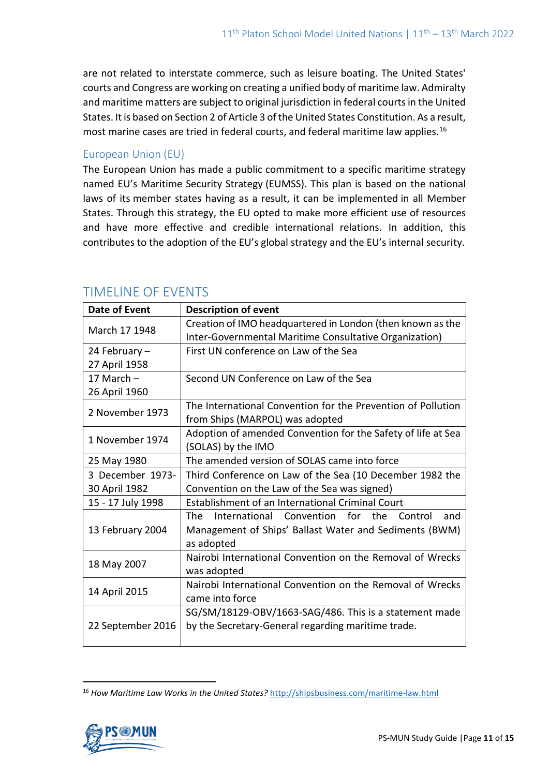are not related to interstate commerce, such as leisure boating. The United States' courts and Congress are working on creating a unified body of maritime law. Admiralty and maritime matters are subject to original jurisdiction in federal courts in the United States. It is based on Section 2 of Article 3 of the United States Constitution. As a result, most marine cases are tried in federal courts, and federal maritime law applies.<sup>16</sup>

### European Union (EU)

The European Union has made a public commitment to a specific maritime strategy named EU's Maritime Security Strategy (EUMSS). This plan is based on the national laws of its member states having as a result, it can be implemented in all Member States. Through this strategy, the EU opted to make more efficient use of resources and have more effective and credible international relations. In addition, this contributes to the adoption of the EU's global strategy and the EU's internal security.

| Date of Event     | <b>Description of event</b>                                                                                                       |
|-------------------|-----------------------------------------------------------------------------------------------------------------------------------|
| March 17 1948     | Creation of IMO headquartered in London (then known as the                                                                        |
|                   | Inter-Governmental Maritime Consultative Organization)                                                                            |
| 24 February -     | First UN conference on Law of the Sea                                                                                             |
| 27 April 1958     |                                                                                                                                   |
| 17 March $-$      | Second UN Conference on Law of the Sea                                                                                            |
| 26 April 1960     |                                                                                                                                   |
| 2 November 1973   | The International Convention for the Prevention of Pollution                                                                      |
|                   | from Ships (MARPOL) was adopted                                                                                                   |
| 1 November 1974   | Adoption of amended Convention for the Safety of life at Sea                                                                      |
|                   | (SOLAS) by the IMO                                                                                                                |
| 25 May 1980       | The amended version of SOLAS came into force                                                                                      |
| 3 December 1973-  | Third Conference on Law of the Sea (10 December 1982 the                                                                          |
| 30 April 1982     | Convention on the Law of the Sea was signed)                                                                                      |
| 15 - 17 July 1998 | Establishment of an International Criminal Court                                                                                  |
| 13 February 2004  | The<br>International Convention for the<br>Control<br>and<br>Management of Ships' Ballast Water and Sediments (BWM)<br>as adopted |
| 18 May 2007       | Nairobi International Convention on the Removal of Wrecks<br>was adopted                                                          |
| 14 April 2015     | Nairobi International Convention on the Removal of Wrecks<br>came into force                                                      |
| 22 September 2016 | SG/SM/18129-OBV/1663-SAG/486. This is a statement made<br>by the Secretary-General regarding maritime trade.                      |

## TIMELINE OF EVENTS

<sup>16</sup> *How Maritime Law Works in the United States?* <http://shipsbusiness.com/maritime-law.html>

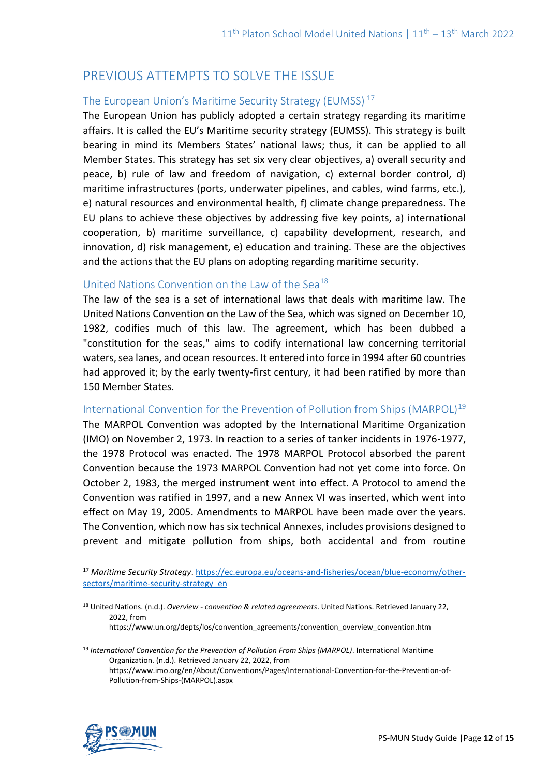# PREVIOUS ATTEMPTS TO SOLVE THE ISSUE

### The European Union's Maritime Security Strategy (EUMSS) <sup>17</sup>

The European Union has publicly adopted a certain strategy regarding its maritime affairs. It is called the EU's Maritime security strategy (EUMSS). This strategy is built bearing in mind its Members States' national laws; thus, it can be applied to all Member States. This strategy has set six very clear objectives, a) overall security and peace, b) rule of law and freedom of navigation, c) external border control, d) maritime infrastructures (ports, underwater pipelines, and cables, wind farms, etc.), e) natural resources and environmental health, f) climate change preparedness. The EU plans to achieve these objectives by addressing five key points, a) international cooperation, b) maritime surveillance, c) capability development, research, and innovation, d) risk management, e) education and training. These are the objectives and the actions that the EU plans on adopting regarding maritime security.

### United Nations Convention on the Law of the Sea<sup>18</sup>

The law of the sea is a set of international laws that deals with maritime law. The United Nations Convention on the Law of the Sea, which was signed on December 10, 1982, codifies much of this law. The agreement, which has been dubbed a "constitution for the seas," aims to codify international law concerning territorial waters, sea lanes, and ocean resources. It entered into force in 1994 after 60 countries had approved it; by the early twenty-first century, it had been ratified by more than 150 Member States.

#### International Convention for the Prevention of Pollution from Ships (MARPOL)<sup>19</sup>

The MARPOL Convention was adopted by the International Maritime Organization (IMO) on November 2, 1973. In reaction to a series of tanker incidents in 1976-1977, the 1978 Protocol was enacted. The 1978 MARPOL Protocol absorbed the parent Convention because the 1973 MARPOL Convention had not yet come into force. On October 2, 1983, the merged instrument went into effect. A Protocol to amend the Convention was ratified in 1997, and a new Annex VI was inserted, which went into effect on May 19, 2005. Amendments to MARPOL have been made over the years. The Convention, which now has six technical Annexes, includes provisions designed to prevent and mitigate pollution from ships, both accidental and from routine

<sup>19</sup> *International Convention for the Prevention of Pollution From Ships (MARPOL)*. International Maritime Organization. (n.d.). Retrieved January 22, 2022, from https://www.imo.org/en/About/Conventions/Pages/International-Convention-for-the-Prevention-of-Pollution-from-Ships-(MARPOL).aspx



<sup>17</sup> *Maritime Security Strategy*. [https://ec.europa.eu/oceans-and-fisheries/ocean/blue-economy/other](https://ec.europa.eu/oceans-and-fisheries/ocean/blue-economy/other-sectors/maritime-security-strategy_en)[sectors/maritime-security-strategy\\_en](https://ec.europa.eu/oceans-and-fisheries/ocean/blue-economy/other-sectors/maritime-security-strategy_en)

<sup>18</sup> United Nations. (n.d.). *Overview - convention & related agreements*. United Nations. Retrieved January 22, 2022, from https://www.un.org/depts/los/convention\_agreements/convention\_overview\_convention.htm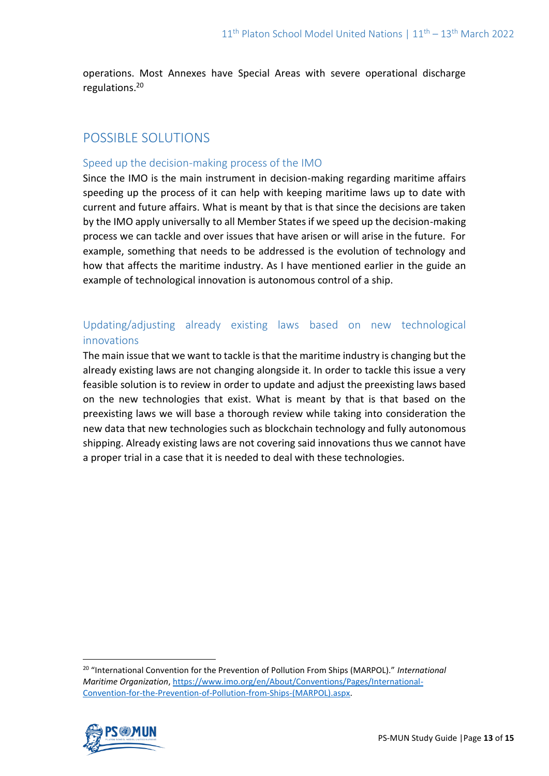operations. Most Annexes have Special Areas with severe operational discharge regulations.<sup>20</sup>

# POSSIBLE SOLUTIONS

### Speed up the decision-making process of the IMO

Since the IMO is the main instrument in decision-making regarding maritime affairs speeding up the process of it can help with keeping maritime laws up to date with current and future affairs. What is meant by that is that since the decisions are taken by the IMO apply universally to all Member States if we speed up the decision-making process we can tackle and over issues that have arisen or will arise in the future. For example, something that needs to be addressed is the evolution of technology and how that affects the maritime industry. As I have mentioned earlier in the guide an example of technological innovation is autonomous control of a ship.

## Updating/adjusting already existing laws based on new technological innovations

The main issue that we want to tackle is that the maritime industry is changing but the already existing laws are not changing alongside it. In order to tackle this issue a very feasible solution is to review in order to update and adjust the preexisting laws based on the new technologies that exist. What is meant by that is that based on the preexisting laws we will base a thorough review while taking into consideration the new data that new technologies such as blockchain technology and fully autonomous shipping. Already existing laws are not covering said innovations thus we cannot have a proper trial in a case that it is needed to deal with these technologies.

<sup>20</sup> "International Convention for the Prevention of Pollution From Ships (MARPOL)." *International Maritime Organization*[, https://www.imo.org/en/About/Conventions/Pages/International-](https://www.imo.org/en/About/Conventions/Pages/International-Convention-for-the-Prevention-of-Pollution-from-Ships-(MARPOL).aspx)[Convention-for-the-Prevention-of-Pollution-from-Ships-\(MARPOL\).aspx.](https://www.imo.org/en/About/Conventions/Pages/International-Convention-for-the-Prevention-of-Pollution-from-Ships-(MARPOL).aspx)

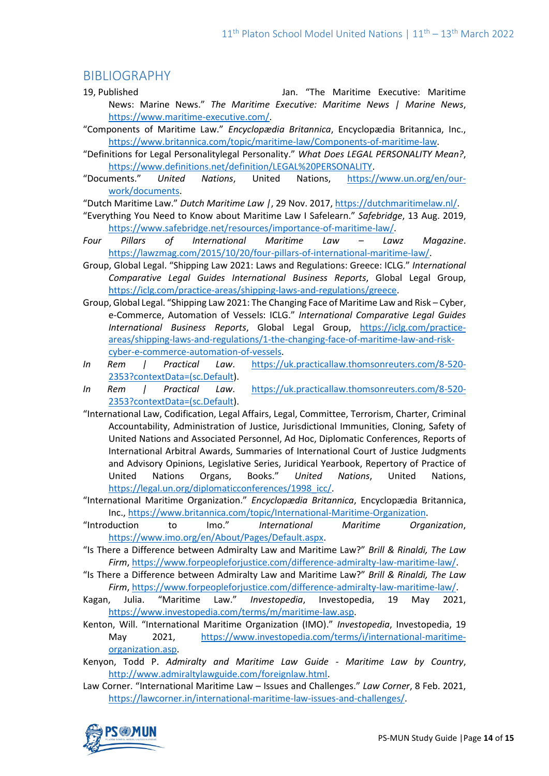## BIBLIOGRAPHY

- 19, Published Jan. "The Maritime Executive: Maritime News: Marine News." *The Maritime Executive: Maritime News | Marine News*, [https://www.maritime-executive.com/.](https://www.maritime-executive.com/)
- "Components of Maritime Law." *Encyclopædia Britannica*, Encyclopædia Britannica, Inc., [https://www.britannica.com/topic/maritime-law/Components-of-maritime-law.](https://www.britannica.com/topic/maritime-law/Components-of-maritime-law)
- "Definitions for Legal Personalitylegal Personality." *What Does LEGAL PERSONALITY Mean?*, [https://www.definitions.net/definition/LEGAL%20PERSONALITY.](https://www.definitions.net/definition/LEGAL%20PERSONALITY)
- "Documents." *United Nations*, United Nations, [https://www.un.org/en/our](https://www.un.org/en/our-work/documents)[work/documents.](https://www.un.org/en/our-work/documents)
- "Dutch Maritime Law." *Dutch Maritime Law |*, 29 Nov. 2017[, https://dutchmaritimelaw.nl/.](https://dutchmaritimelaw.nl/)
- "Everything You Need to Know about Maritime Law I Safelearn." *Safebridge*, 13 Aug. 2019, [https://www.safebridge.net/resources/importance-of-maritime-law/.](https://www.safebridge.net/resources/importance-of-maritime-law/)
- *Four Pillars of International Maritime Law – Lawz Magazine*. [https://lawzmag.com/2015/10/20/four-pillars-of-international-maritime-law/.](https://lawzmag.com/2015/10/20/four-pillars-of-international-maritime-law/)
- Group, Global Legal. "Shipping Law 2021: Laws and Regulations: Greece: ICLG." *International Comparative Legal Guides International Business Reports*, Global Legal Group, [https://iclg.com/practice-areas/shipping-laws-and-regulations/greece.](https://iclg.com/practice-areas/shipping-laws-and-regulations/greece)
- Group, Global Legal. "Shipping Law 2021: The Changing Face of Maritime Law and Risk Cyber, e-Commerce, Automation of Vessels: ICLG." *International Comparative Legal Guides International Business Reports*, Global Legal Group, [https://iclg.com/practice](https://iclg.com/practice-areas/shipping-laws-and-regulations/1-the-changing-face-of-maritime-law-and-risk-cyber-e-commerce-automation-of-vessels)[areas/shipping-laws-and-regulations/1-the-changing-face-of-maritime-law-and-risk](https://iclg.com/practice-areas/shipping-laws-and-regulations/1-the-changing-face-of-maritime-law-and-risk-cyber-e-commerce-automation-of-vessels)[cyber-e-commerce-automation-of-vessels.](https://iclg.com/practice-areas/shipping-laws-and-regulations/1-the-changing-face-of-maritime-law-and-risk-cyber-e-commerce-automation-of-vessels)
- *In Rem | Practical Law*. [https://uk.practicallaw.thomsonreuters.com/8-520-](https://uk.practicallaw.thomsonreuters.com/8-520-2353?contextData=(sc.Default) [2353?contextData=\(sc.Default\)](https://uk.practicallaw.thomsonreuters.com/8-520-2353?contextData=(sc.Default).
- *In Rem | Practical Law*. [https://uk.practicallaw.thomsonreuters.com/8-520-](https://uk.practicallaw.thomsonreuters.com/8-520-2353?contextData=(sc.Default) [2353?contextData=\(sc.Default\)](https://uk.practicallaw.thomsonreuters.com/8-520-2353?contextData=(sc.Default).
- "International Law, Codification, Legal Affairs, Legal, Committee, Terrorism, Charter, Criminal Accountability, Administration of Justice, Jurisdictional Immunities, Cloning, Safety of United Nations and Associated Personnel, Ad Hoc, Diplomatic Conferences, Reports of International Arbitral Awards, Summaries of International Court of Justice Judgments and Advisory Opinions, Legislative Series, Juridical Yearbook, Repertory of Practice of United Nations Organs, Books." *United Nations*, United Nations, [https://legal.un.org/diplomaticconferences/1998\\_icc/.](https://legal.un.org/diplomaticconferences/1998_icc/)
- "International Maritime Organization." *Encyclopædia Britannica*, Encyclopædia Britannica, Inc., [https://www.britannica.com/topic/International-Maritime-Organization.](https://www.britannica.com/topic/International-Maritime-Organization)
- "Introduction to Imo." *International Maritime Organization*, [https://www.imo.org/en/About/Pages/Default.aspx.](https://www.imo.org/en/About/Pages/Default.aspx)
- "Is There a Difference between Admiralty Law and Maritime Law?" *Brill & Rinaldi, The Law Firm*, [https://www.forpeopleforjustice.com/difference-admiralty-law-maritime-law/.](https://www.forpeopleforjustice.com/difference-admiralty-law-maritime-law/)
- "Is There a Difference between Admiralty Law and Maritime Law?" *Brill & Rinaldi, The Law Firm*, [https://www.forpeopleforjustice.com/difference-admiralty-law-maritime-law/.](https://www.forpeopleforjustice.com/difference-admiralty-law-maritime-law/)
- Kagan, Julia. "Maritime Law." *Investopedia*, Investopedia, 19 May 2021, [https://www.investopedia.com/terms/m/maritime-law.asp.](https://www.investopedia.com/terms/m/maritime-law.asp)
- Kenton, Will. "International Maritime Organization (IMO)." *Investopedia*, Investopedia, 19 May 2021, [https://www.investopedia.com/terms/i/international-maritime](https://www.investopedia.com/terms/i/international-maritime-organization.asp)[organization.asp.](https://www.investopedia.com/terms/i/international-maritime-organization.asp)
- Kenyon, Todd P. *Admiralty and Maritime Law Guide - Maritime Law by Country*, [http://www.admiraltylawguide.com/foreignlaw.html.](http://www.admiraltylawguide.com/foreignlaw.html)
- Law Corner. "International Maritime Law Issues and Challenges." *Law Corner*, 8 Feb. 2021, [https://lawcorner.in/international-maritime-law-issues-and-challenges/.](https://lawcorner.in/international-maritime-law-issues-and-challenges/)